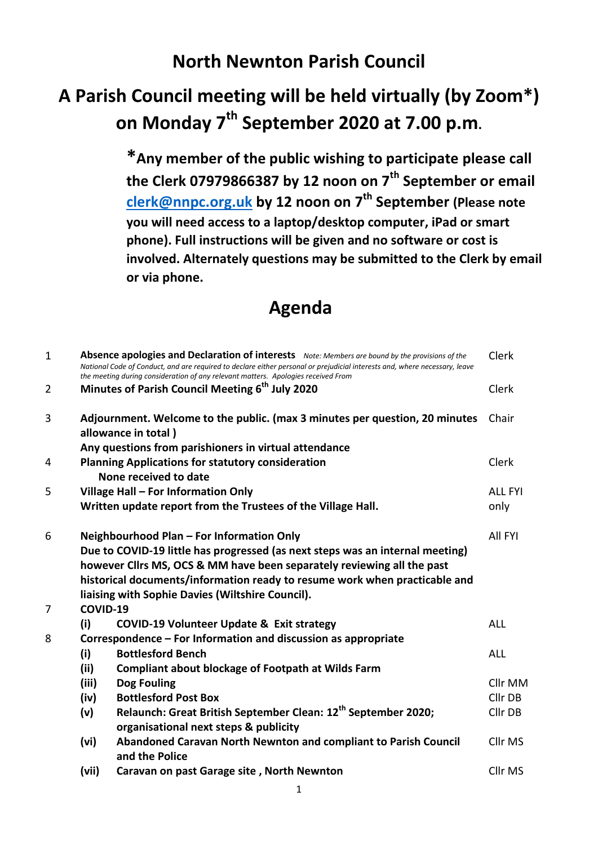## **North Newnton Parish Council**

## **A Parish Council meeting will be held virtually (by Zoom\*) on Monday 7th September 2020 at 7.00 p.m.**

**\*Any member of the public wishing to participate please call the Clerk 07979866387 by 12 noon on 7th September or email [clerk@nnpc.org.uk](mailto:clerk@nnpc.org.uk) by 12 noon on 7th September (Please note you will need access to a laptop/desktop computer, iPad or smart phone). Full instructions will be given and no software or cost is involved. Alternately questions may be submitted to the Clerk by email or via phone.**

## **Agenda**

| $\mathbf{1}$   |                                                                                   | Absence apologies and Declaration of interests Note: Members are bound by the provisions of the<br>National Code of Conduct, and are required to declare either personal or prejudicial interests and, where necessary, leave<br>the meeting during consideration of any relevant matters. Apologies received From | Clerk          |
|----------------|-----------------------------------------------------------------------------------|--------------------------------------------------------------------------------------------------------------------------------------------------------------------------------------------------------------------------------------------------------------------------------------------------------------------|----------------|
| $\overline{2}$ |                                                                                   | Minutes of Parish Council Meeting 6 <sup>th</sup> July 2020                                                                                                                                                                                                                                                        | Clerk          |
| 3              |                                                                                   | Adjournment. Welcome to the public. (max 3 minutes per question, 20 minutes<br>allowance in total)                                                                                                                                                                                                                 | Chair          |
|                | Any questions from parishioners in virtual attendance                             |                                                                                                                                                                                                                                                                                                                    |                |
| 4              | <b>Planning Applications for statutory consideration</b><br>None received to date |                                                                                                                                                                                                                                                                                                                    | Clerk          |
| 5              | Village Hall - For Information Only                                               |                                                                                                                                                                                                                                                                                                                    | <b>ALL FYI</b> |
|                |                                                                                   | Written update report from the Trustees of the Village Hall.                                                                                                                                                                                                                                                       | only           |
| 6              | Neighbourhood Plan - For Information Only                                         |                                                                                                                                                                                                                                                                                                                    | All FYI        |
|                | Due to COVID-19 little has progressed (as next steps was an internal meeting)     |                                                                                                                                                                                                                                                                                                                    |                |
|                | however Cllrs MS, OCS & MM have been separately reviewing all the past            |                                                                                                                                                                                                                                                                                                                    |                |
|                | historical documents/information ready to resume work when practicable and        |                                                                                                                                                                                                                                                                                                                    |                |
|                | liaising with Sophie Davies (Wiltshire Council).                                  |                                                                                                                                                                                                                                                                                                                    |                |
| 7              | COVID-19                                                                          |                                                                                                                                                                                                                                                                                                                    |                |
|                | (i)                                                                               | <b>COVID-19 Volunteer Update &amp; Exit strategy</b>                                                                                                                                                                                                                                                               | <b>ALL</b>     |
| 8              | Correspondence – For Information and discussion as appropriate                    |                                                                                                                                                                                                                                                                                                                    |                |
|                | (i)                                                                               | <b>Bottlesford Bench</b>                                                                                                                                                                                                                                                                                           | <b>ALL</b>     |
|                | (ii)                                                                              | <b>Compliant about blockage of Footpath at Wilds Farm</b>                                                                                                                                                                                                                                                          |                |
|                | (iii)                                                                             | Dog Fouling                                                                                                                                                                                                                                                                                                        | Cllr MM        |
|                | (iv)                                                                              | <b>Bottlesford Post Box</b>                                                                                                                                                                                                                                                                                        | Cllr DB        |
|                | (v)                                                                               | Relaunch: Great British September Clean: 12 <sup>th</sup> September 2020;                                                                                                                                                                                                                                          | Cllr DB        |
|                |                                                                                   | organisational next steps & publicity                                                                                                                                                                                                                                                                              |                |
|                | (vi)                                                                              | Abandoned Caravan North Newnton and compliant to Parish Council<br>and the Police                                                                                                                                                                                                                                  | Cllr MS        |
|                | (vii)                                                                             | Caravan on past Garage site, North Newnton                                                                                                                                                                                                                                                                         | Cllr MS        |
|                |                                                                                   |                                                                                                                                                                                                                                                                                                                    |                |